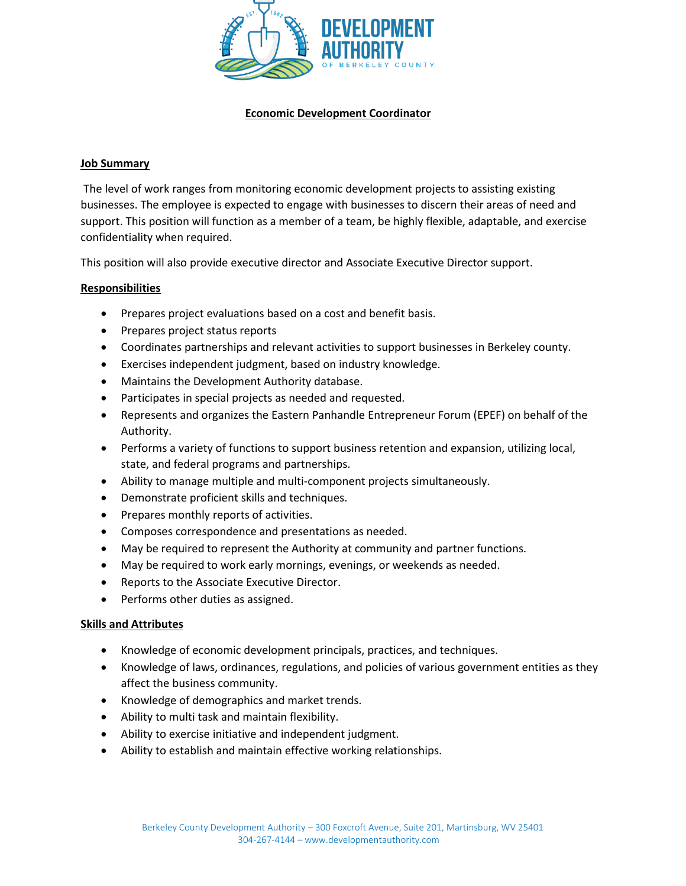

# **Economic Development Coordinator**

#### **Job Summary**

The level of work ranges from monitoring economic development projects to assisting existing businesses. The employee is expected to engage with businesses to discern their areas of need and support. This position will function as a member of a team, be highly flexible, adaptable, and exercise confidentiality when required.

This position will also provide executive director and Associate Executive Director support.

#### **Responsibilities**

- Prepares project evaluations based on a cost and benefit basis.
- Prepares project status reports
- Coordinates partnerships and relevant activities to support businesses in Berkeley county.
- Exercises independent judgment, based on industry knowledge.
- Maintains the Development Authority database.
- Participates in special projects as needed and requested.
- Represents and organizes the Eastern Panhandle Entrepreneur Forum (EPEF) on behalf of the Authority.
- Performs a variety of functions to support business retention and expansion, utilizing local, state, and federal programs and partnerships.
- Ability to manage multiple and multi-component projects simultaneously.
- Demonstrate proficient skills and techniques.
- Prepares monthly reports of activities.
- Composes correspondence and presentations as needed.
- May be required to represent the Authority at community and partner functions.
- May be required to work early mornings, evenings, or weekends as needed.
- Reports to the Associate Executive Director.
- Performs other duties as assigned.

#### **Skills and Attributes**

- Knowledge of economic development principals, practices, and techniques.
- Knowledge of laws, ordinances, regulations, and policies of various government entities as they affect the business community.
- Knowledge of demographics and market trends.
- Ability to multi task and maintain flexibility.
- Ability to exercise initiative and independent judgment.
- Ability to establish and maintain effective working relationships.